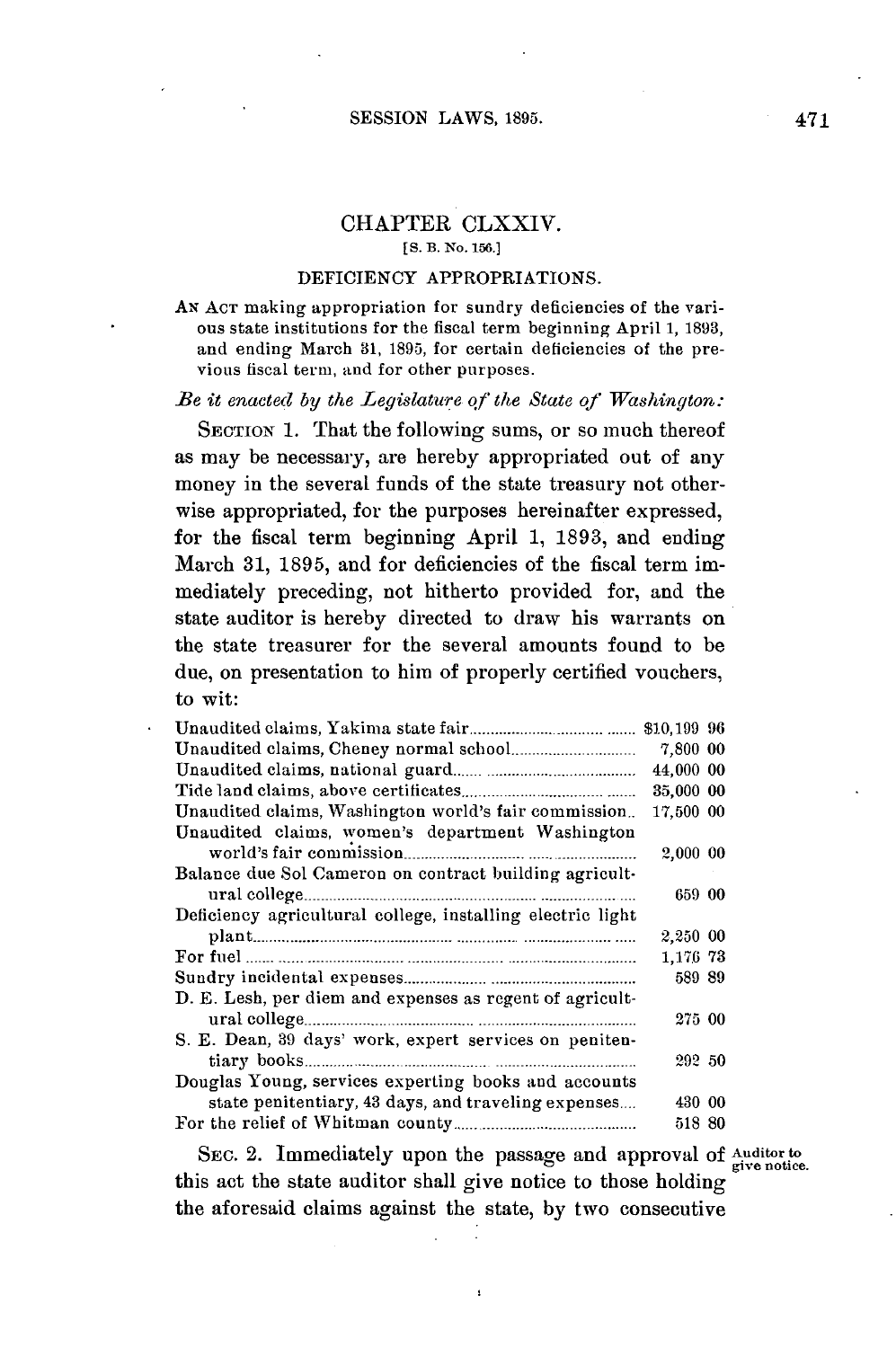## CHAPTER CLXXIV. **[S. B. No. 156.]**

#### **DEFICIENCY** APPROPRIATIONS.

AN **ACT** making appropriation for sundry deficiencies of the various state institutions for the fiscal term beginning April **1, 1893,** and ending March **31, 1895,** for certain deficiencies of the previous fiscal term, and for other purposes.

### *Be it enacted by the Legislature of the State of Washington:*

SECTION 1. That the following sums, or so much thereof as may be necessary, are hereby appropriated out of any money in the several funds of the state treasury not otherwise appropriated, for the purposes hereinafter expressed, for the fiscal term beginning April **1, 1893,** and ending March **31, 1895,** and for deficiencies of the fiscal term immediately preceding, not hitherto provided for, and the state auditor is hereby directed to draw his warrants on the state treasurer for the several amounts found to be due, on presentation to him of properly certified vouchers, to wit:

|                                                            | \$10,199 96 |  |
|------------------------------------------------------------|-------------|--|
|                                                            | 7,800 00    |  |
|                                                            | 44,000 00   |  |
|                                                            | 35,000 00   |  |
| Unaudited claims, Washington world's fair commission       | 17,500 00   |  |
| Unaudited claims, women's department Washington            |             |  |
|                                                            | 2,000 00    |  |
| Balance due Sol Cameron on contract building agricult-     |             |  |
|                                                            | 659 00      |  |
| Deficiency agricultural college, installing electric light |             |  |
|                                                            | 2,250 00    |  |
|                                                            | 1,176 73    |  |
|                                                            | 589 89      |  |
| D. E. Lesh, per diem and expenses as regent of agricult-   |             |  |
|                                                            | 275 00      |  |
| S. E. Dean, 39 days' work, expert services on peniten-     |             |  |
|                                                            | 292 50      |  |
| Douglas Young, services experting books and accounts       |             |  |
| state penitentiary, 43 days, and traveling expenses        | 430 00      |  |
|                                                            | 518 80      |  |

SEC. 2. Immediately upon the passage and approval of Auditor to give notice. this act the state auditor shall give notice to those holding the aforesaid claims against the state, **by** two consecutive